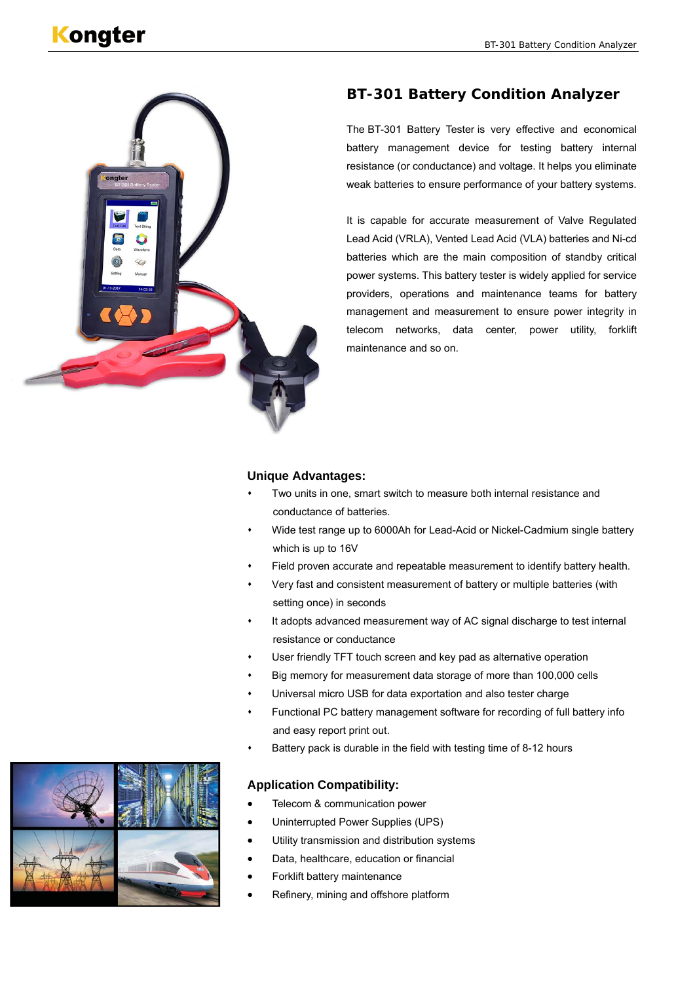

# **BT-301 Battery Condition Analyzer**

The BT-301 Battery Tester is very effective and economical battery management device for testing battery internal resistance (or conductance) and voltage. It helps you eliminate weak batteries to ensure performance of your battery systems.

It is capable for accurate measurement of Valve Regulated Lead Acid (VRLA), Vented Lead Acid (VLA) batteries and Ni-cd batteries which are the main composition of standby critical power systems. This battery tester is widely applied for service providers, operations and maintenance teams for battery management and measurement to ensure power integrity in telecom networks, data center, power utility, forklift maintenance and so on.

#### **Unique Advantages:**

- Two units in one, smart switch to measure both internal resistance and conductance of batteries.
- Wide test range up to 6000Ah for Lead-Acid or Nickel-Cadmium single battery which is up to 16V
- Field proven accurate and repeatable measurement to identify battery health.
- Very fast and consistent measurement of battery or multiple batteries (with setting once) in seconds
- It adopts advanced measurement way of AC signal discharge to test internal resistance or conductance
- User friendly TFT touch screen and key pad as alternative operation
- Big memory for measurement data storage of more than 100,000 cells
- Universal micro USB for data exportation and also tester charge
- Functional PC battery management software for recording of full battery info and easy report print out.
- Battery pack is durable in the field with testing time of 8-12 hours

# **Application Compatibility:**

- Telecom & communication power
- Uninterrupted Power Supplies (UPS)
- Utility transmission and distribution systems
- Data, healthcare, education or financial
- Forklift battery maintenance
- Refinery, mining and offshore platform

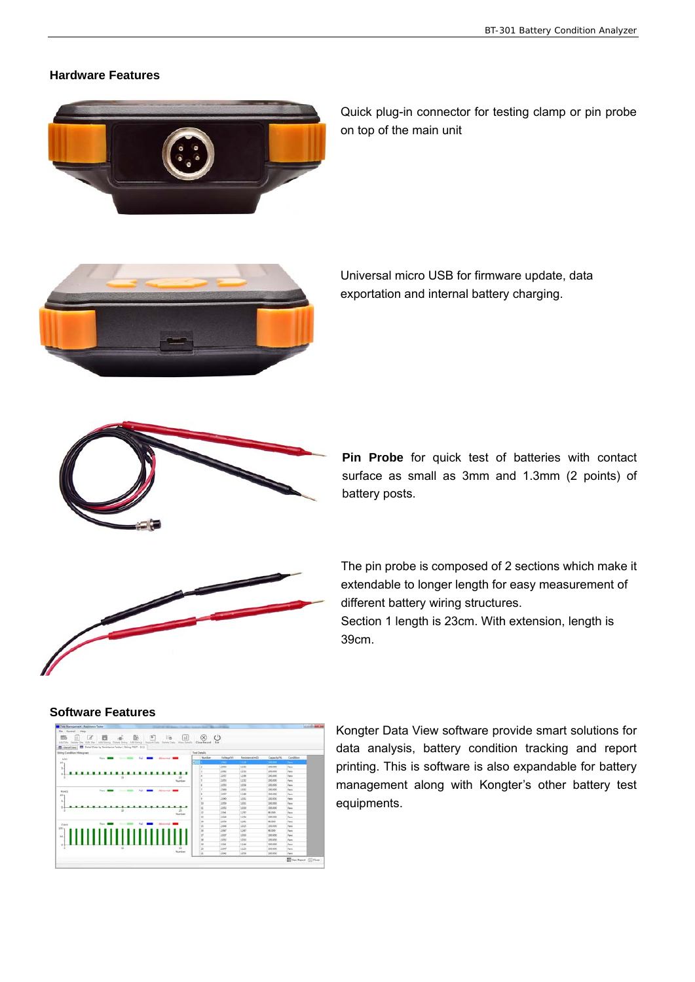# **Hardware Features**



Quick plug-in connector for testing clamp or pin probe on top of the main unit



Universal micro USB for firmware update, data exportation and internal battery charging.



**Pin Probe** for quick test of batteries with contact surface as small as 3mm and 1.3mm (2 points) of battery posts.



The pin probe is composed of 2 sections which make it extendable to longer length for easy measurement of different battery wiring structures. Section 1 length is 23cm. With extension, length is



Kongter Data View software provide smart solutions for data analysis, battery condition tracking and report printing. This is software is also expandable for battery management along with Kongter's other battery test equipments.